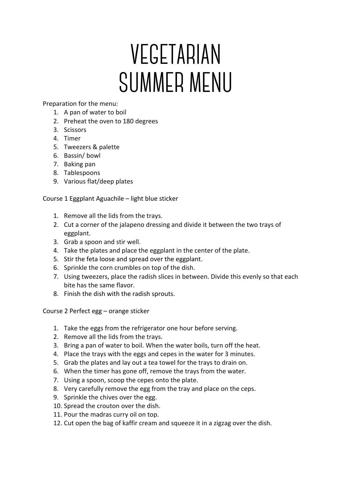## **VEGETARIAN SUMMER MENU**

Preparation for the menu:

- 1. A pan of water to boil
- 2. Preheat the oven to 180 degrees
- 3. Scissors
- 4. Timer
- 5. Tweezers & palette
- 6. Bassin/ bowl
- 7. Baking pan
- 8. Tablespoons
- 9. Various flat/deep plates

Course 1 Eggplant Aguachile – light blue sticker

- 1. Remove all the lids from the trays.
- 2. Cut a corner of the jalapeno dressing and divide it between the two trays of eggplant.
- 3. Grab a spoon and stir well.
- 4. Take the plates and place the eggplant in the center of the plate.
- 5. Stir the feta loose and spread over the eggplant.
- 6. Sprinkle the corn crumbles on top of the dish.
- 7. Using tweezers, place the radish slices in between. Divide this evenly so that each bite has the same flavor.
- 8. Finish the dish with the radish sprouts.

Course 2 Perfect egg – orange sticker

- 1. Take the eggs from the refrigerator one hour before serving.
- 2. Remove all the lids from the trays.
- 3. Bring a pan of water to boil. When the water boils, turn off the heat.
- 4. Place the trays with the eggs and cepes in the water for 3 minutes.
- 5. Grab the plates and lay out a tea towel for the trays to drain on.
- 6. When the timer has gone off, remove the trays from the water.
- 7. Using a spoon, scoop the cepes onto the plate.
- 8. Very carefully remove the egg from the tray and place on the ceps.
- 9. Sprinkle the chives over the egg.
- 10. Spread the crouton over the dish.
- 11. Pour the madras curry oil on top.
- 12. Cut open the bag of kaffir cream and squeeze it in a zigzag over the dish.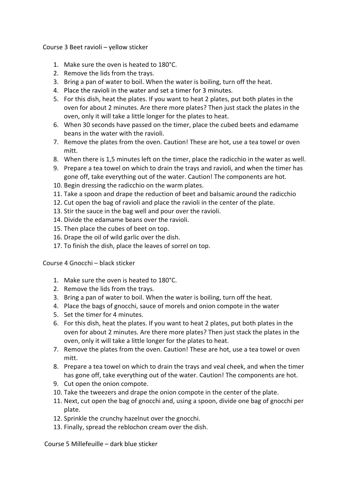## Course 3 Beet ravioli – yellow sticker

- 1. Make sure the oven is heated to 180°C.
- 2. Remove the lids from the trays.
- 3. Bring a pan of water to boil. When the water is boiling, turn off the heat.
- 4. Place the ravioli in the water and set a timer for 3 minutes.
- 5. For this dish, heat the plates. If you want to heat 2 plates, put both plates in the oven for about 2 minutes. Are there more plates? Then just stack the plates in the oven, only it will take a little longer for the plates to heat.
- 6. When 30 seconds have passed on the timer, place the cubed beets and edamame beans in the water with the ravioli.
- 7. Remove the plates from the oven. Caution! These are hot, use a tea towel or oven mitt.
- 8. When there is 1,5 minutes left on the timer, place the radicchio in the water as well.
- 9. Prepare a tea towel on which to drain the trays and ravioli, and when the timer has gone off, take everything out of the water. Caution! The components are hot.
- 10. Begin dressing the radicchio on the warm plates.
- 11. Take a spoon and drape the reduction of beet and balsamic around the radicchio
- 12. Cut open the bag of ravioli and place the ravioli in the center of the plate.
- 13. Stir the sauce in the bag well and pour over the ravioli.
- 14. Divide the edamame beans over the ravioli.
- 15. Then place the cubes of beet on top.
- 16. Drape the oil of wild garlic over the dish.
- 17. To finish the dish, place the leaves of sorrel on top.

Course 4 Gnocchi – black sticker

- 1. Make sure the oven is heated to 180°C.
- 2. Remove the lids from the trays.
- 3. Bring a pan of water to boil. When the water is boiling, turn off the heat.
- 4. Place the bags of gnocchi, sauce of morels and onion compote in the water
- 5. Set the timer for 4 minutes.
- 6. For this dish, heat the plates. If you want to heat 2 plates, put both plates in the oven for about 2 minutes. Are there more plates? Then just stack the plates in the oven, only it will take a little longer for the plates to heat.
- 7. Remove the plates from the oven. Caution! These are hot, use a tea towel or oven mitt.
- 8. Prepare a tea towel on which to drain the trays and veal cheek, and when the timer has gone off, take everything out of the water. Caution! The components are hot.
- 9. Cut open the onion compote.
- 10. Take the tweezers and drape the onion compote in the center of the plate.
- 11. Next, cut open the bag of gnocchi and, using a spoon, divide one bag of gnocchi per plate.
- 12. Sprinkle the crunchy hazelnut over the gnocchi.
- 13. Finally, spread the reblochon cream over the dish.

Course 5 Millefeuille – dark blue sticker